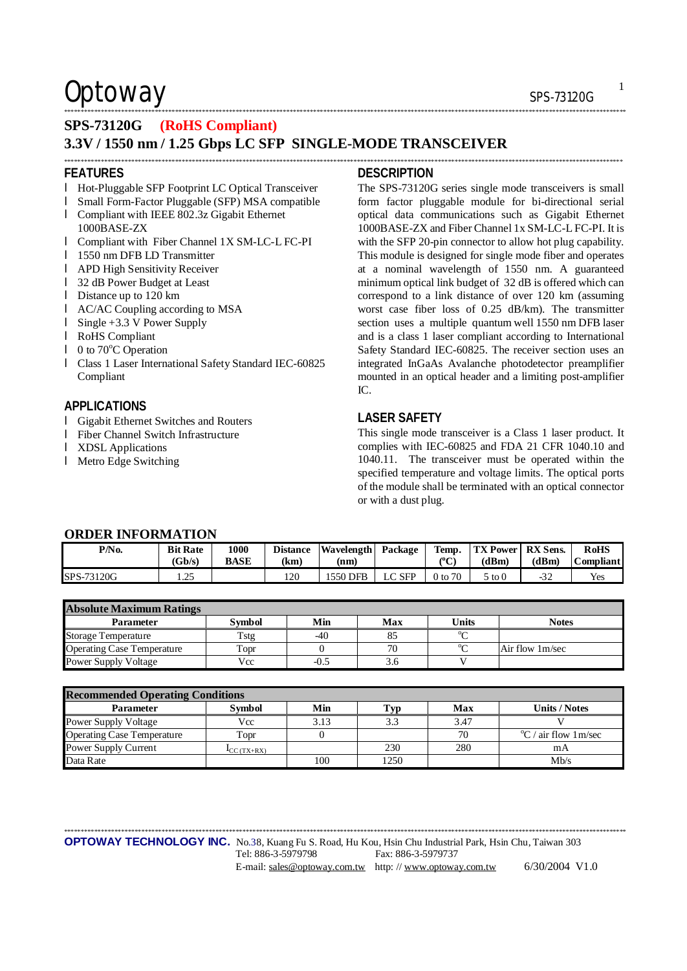### $\mathsf{Optionway}$  sps-73120G

### **SPS-73120G (RoHS Compliant) 3.3V / 1550 nm / 1.25 Gbps LC SFP SINGLE-MODE TRANSCEIVER**

#### **FEATURES**

- l Hot-Pluggable SFP Footprint LC Optical Transceiver
- l Small Form-Factor Pluggable (SFP) MSA compatible
- l Compliant with IEEE 802.3z Gigabit Ethernet 1000BASE-ZX
- l Compliant with Fiber Channel 1X SM-LC-L FC-PI
- l 1550 nm DFB LD Transmitter
- l APD High Sensitivity Receiver
- l 32 dB Power Budget at Least
- l Distance up to 120 km
- l AC/AC Coupling according to MSA
- l Single +3.3 V Power Supply
- l RoHS Compliant
- $\blacksquare$  0 to 70 $\degree$ C Operation
- l Class 1 Laser International Safety Standard IEC-60825 Compliant

### **APPLICATIONS**

- l Gigabit Ethernet Switches and Routers
- l Fiber Channel Switch Infrastructure
- l XDSL Applications
- l Metro Edge Switching

#### **DESCRIPTION**

\*\*\*\*\*\*\*\*\*\*\*\*\*\*\*\*\*\*\*\*\*\*\*\*\*\*\*\*\*\*\*\*\*\*\*\*\*\*\*\*\*\*\*\*\*\*\*\*\*\*\*\*\*\*\*\*\*\*\*\*\*\*\*\*\*\*\*\*\*\*\*\*\*\*\*\*\*\*\*\*\*\*\*\*\*\*\*\*\*\*\*\*\*\*\*\*\*\*\*\*\*\*\*\*\*\*\*\*\*\*\*\*\*\*\*\*\*\*\*\*\*\*\*\*\*\*\*\*\*\*\*\*\*\*\*\*\*\*\*\*\*\*\*\*\*\*\*\*\*\*\*\*\*\*\*\*\*\*\*\*\*\*\*\*\*\*\*

\*\*\*\*\*\*\*\*\*\*\*\*\*\*\*\*\*\*\*\*\*\*\*\*\*\*\*\*\*\*\*\*\*\*\*\*\*\*\*\*\*\*\*\*\*\*\*\*\*\*\*\*\*\*\*\*\*\*\*\*\*\*\*\*\*\*\*\*\*\*\*\*\*\*\*\*\*\*\*\*\*\*\*\*\*\*\*\*\*\*\*\*\*\*\*\*\*\*\*\*\*\*\*\*\*\*\*\*\*\*\*\*\*\*\*\*\*\*\*\*\*\*\*\*\*\*\*\*\*\*\*\*\*\*\*\*\*\*\*\*\*\*\*\*\*\*\*\*\*\*\*\*\*\*\*\*\*\*\*\*\*\*\*\*\*\*

The SPS-73120G series single mode transceivers is small form factor pluggable module for bi-directional serial optical data communications such as Gigabit Ethernet 1000BASE-ZX and Fiber Channel 1x SM-LC-L FC-PI. It is with the SFP 20-pin connector to allow hot plug capability. This module is designed for single mode fiber and operates at a nominal wavelength of 1550 nm. A guaranteed minimum optical link budget of 32 dB is offered which can correspond to a link distance of over 120 km (assuming worst case fiber loss of 0.25 dB/km). The transmitter section uses a multiple quantum well 1550 nm DFB laser and is a class 1 laser compliant according to International Safety Standard IEC-60825. The receiver section uses an integrated InGaAs Avalanche photodetector preamplifier mounted in an optical header and a limiting post-amplifier IC.

#### **LASER SAFETY**

This single mode transceiver is a Class 1 laser product. It complies with IEC-60825 and FDA 21 CFR 1040.10 and 1040.11. The transceiver must be operated within the specified temperature and voltage limits. The optical ports of the module shall be terminated with an optical connector or with a dust plug.

| <b>ORDER INFORMATION</b> |                           |                     |                         |                            |        |                    |                                     |       |                                 |
|--------------------------|---------------------------|---------------------|-------------------------|----------------------------|--------|--------------------|-------------------------------------|-------|---------------------------------|
| P/No.                    | <b>Bit Rate</b><br>(Gb/s) | 1000<br><b>BASE</b> | <b>Distance</b><br>(km) | Wavelength Package<br>(nm) |        | Temp.<br>(°C)      | <b>TX Power   RX Sens.</b><br>(dBm) | (dBm) | <b>RoHS</b><br><b>Compliant</b> |
| SPS-73120G               | つち<br>ر …                 |                     | 120                     | 1550 DFB                   | LC SFP | $0 \text{ to } 70$ | $5 \text{ to } 0$                   | -32   | Yes                             |

| <b>Absolute Maximum Ratings</b>   |               |        |     |          |                 |  |  |  |
|-----------------------------------|---------------|--------|-----|----------|-----------------|--|--|--|
| <b>Parameter</b>                  | <b>Symbol</b> | Min    | Max | Units    | <b>Notes</b>    |  |  |  |
| <b>Storage Temperature</b>        | Tstg          | -40    |     | $0 \sim$ |                 |  |  |  |
| <b>Operating Case Temperature</b> | Topr          |        | 70  | $0 \sim$ | Air flow 1m/sec |  |  |  |
| <b>Power Supply Voltage</b>       | Vcc           | $-0.5$ |     |          |                 |  |  |  |

| <b>Recommended Operating Conditions</b> |                          |      |      |      |                                 |  |  |  |
|-----------------------------------------|--------------------------|------|------|------|---------------------------------|--|--|--|
| <b>Parameter</b>                        | <b>Symbol</b>            | Min  | 'vp  | Max  | Units / Notes                   |  |  |  |
| <b>Power Supply Voltage</b>             | Vcc                      | 3.13 | 3.3  | 3.47 |                                 |  |  |  |
| <b>Operating Case Temperature</b>       | Topr                     |      |      | 70   | $\mathrm{C}$ / air flow 1 m/sec |  |  |  |
| Power Supply Current                    | $\mathbf{I}_{CC(TX+RX)}$ |      | 230  | 280  | mA                              |  |  |  |
| Data Rate                               |                          | 100  | 1250 |      | Mh/s                            |  |  |  |

\*\*\*\*\*\*\*\*\*\*\*\*\*\*\*\*\*\*\*\*\*\*\*\*\*\*\*\*\*\*\*\*\*\*\*\*\*\*\*\*\*\*\*\*\*\*\*\*\*\*\*\*\*\*\*\*\*\*\*\*\*\*\*\*\*\*\*\*\*\*\*\*\*\*\*\*\*\*\*\*\*\*\*\*\*\*\*\*\*\*\*\*\*\*\*\*\*\*\*\*\*\*\*\*\*\*\*\*\*\*\*\*\*\*\*\*\*\*\*\*\*\*\*\*\*\*\*\*\*\*\*\*\*\*\*\*\*\*\*\*\*\*\*\*\*\*\*\*\*\*\*\*\*\*\*\*\*\*\*\*\*\*\*\*\*\*\*

**OPTOWAY TECHNOLOGY INC.** No.38, Kuang Fu S. Road, Hu Kou, Hsin Chu Industrial Park, Hsin Chu, Taiwan 303

1

Tel: 886-3-5979798 Fax: 886-3-5979737 E-mail: [sales@optoway.com.tw](mailto:sales@optoway.com.tw) http: // [www.optoway.com.tw](http://www.optoway.com.tw) 6/30/2004 V1.0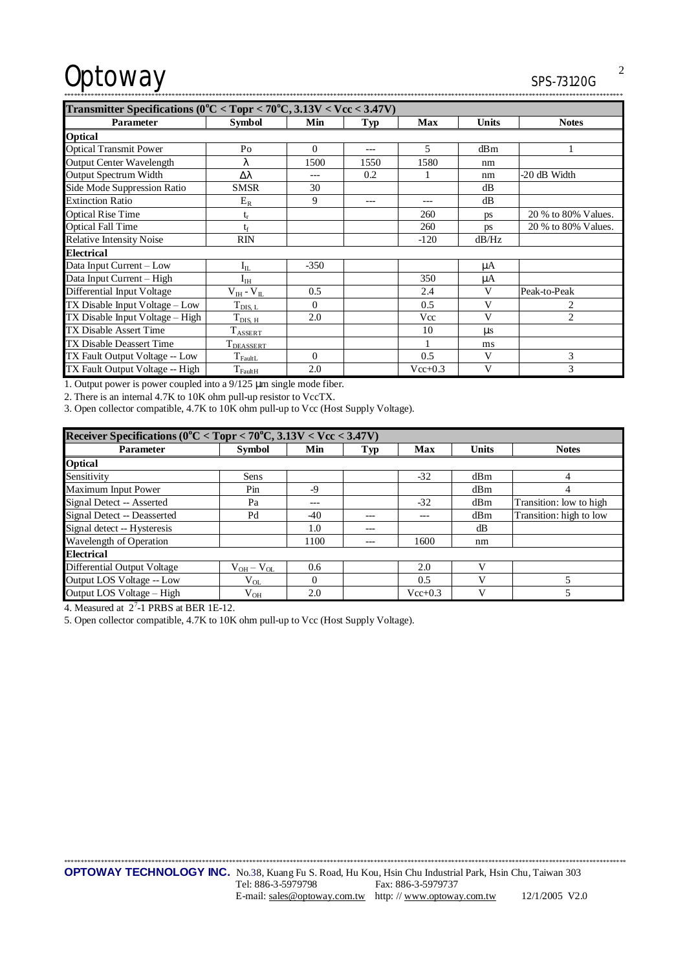# Optoway

| Transmitter Specifications ( $0^{\circ}$ C < Topr < 70 $^{\circ}$ C, 3.13V < Vcc < 3.47V) |                       |          |            |           |              |                     |  |
|-------------------------------------------------------------------------------------------|-----------------------|----------|------------|-----------|--------------|---------------------|--|
| Parameter                                                                                 | <b>Symbol</b>         | Min      | <b>Typ</b> | Max       | <b>Units</b> | <b>Notes</b>        |  |
| <b>Optical</b>                                                                            |                       |          |            |           |              |                     |  |
| <b>Optical Transmit Power</b>                                                             | Po                    | $\Omega$ | $---$      | 5         | dBm          | 1                   |  |
| Output Center Wavelength                                                                  | λ                     | 1500     | 1550       | 1580      | nm           |                     |  |
| <b>Output Spectrum Width</b>                                                              | Δλ                    | ---      | 0.2        |           | nm           | -20 dB Width        |  |
| Side Mode Suppression Ratio                                                               | <b>SMSR</b>           | 30       |            |           | dВ           |                     |  |
| <b>Extinction Ratio</b>                                                                   | $E_R$                 | 9        | $---$      | $---$     | dВ           |                     |  |
| <b>Optical Rise Time</b>                                                                  | $t_r$                 |          |            | 260       | ps           | 20 % to 80% Values. |  |
| <b>Optical Fall Time</b>                                                                  | te                    |          |            | 260       | ps           | 20 % to 80% Values. |  |
| <b>Relative Intensity Noise</b>                                                           | <b>RIN</b>            |          |            | $-120$    | dB/Hz        |                     |  |
| <b>Electrical</b>                                                                         |                       |          |            |           |              |                     |  |
| Data Input Current - Low                                                                  | $I_{IL}$              | $-350$   |            |           | μA           |                     |  |
| Data Input Current - High                                                                 | $\rm I_{\rm IH}$      |          |            | 350       | μA           |                     |  |
| Differential Input Voltage                                                                | $V_{IH} - V_{IL}$     | 0.5      |            | 2.4       | V            | Peak-to-Peak        |  |
| TX Disable Input Voltage - Low                                                            | $T_{DIS, L}$          | $\Omega$ |            | 0.5       | $\mathbf{V}$ | 2                   |  |
| TX Disable Input Voltage – High                                                           | $T_{\rm DIS,~H}$      | 2.0      |            | Vcc       | $\mathbf{V}$ | $\overline{2}$      |  |
| TX Disable Assert Time                                                                    | $T_{\text{ASSERT}}$   |          |            | 10        | $\mu$ s      |                     |  |
| <b>TX Disable Deassert Time</b>                                                           | <b>T</b> DEASSERT     |          |            |           | ms           |                     |  |
| TX Fault Output Voltage -- Low                                                            | $T_{\rm{FaultL}}$     | $\Omega$ |            | 0.5       | V            | 3                   |  |
| TX Fault Output Voltage -- High                                                           | $\mathrm{T_{FaultH}}$ | 2.0      |            | $Vcc+0.3$ | $\mathbf{V}$ | 3                   |  |

1. Output power is power coupled into a  $9/125$  µm single mode fiber.

2. There is an internal 4.7K to 10K ohm pull-up resistor to VccTX.

3. Open collector compatible, 4.7K to 10K ohm pull-up to Vcc (Host Supply Voltage).

| Receiver Specifications ( $0^{\circ}$ C < Topr < 70 $^{\circ}$ C, 3.13V < Vcc < 3.47V) |                   |          |       |             |              |                         |  |  |
|----------------------------------------------------------------------------------------|-------------------|----------|-------|-------------|--------------|-------------------------|--|--|
| <b>Parameter</b>                                                                       | <b>Symbol</b>     | Min      | Typ   | Max         | <b>Units</b> | <b>Notes</b>            |  |  |
| <b>Optical</b>                                                                         |                   |          |       |             |              |                         |  |  |
| Sensitivity                                                                            | Sens              |          |       | $-32$       | dBm          | 4                       |  |  |
| Maximum Input Power                                                                    | Pin               | -9       |       |             | dBm          | 4                       |  |  |
| Signal Detect -- Asserted                                                              | Pa                | ---      |       | $-32$       | dBm          | Transition: low to high |  |  |
| Signal Detect -- Deasserted                                                            | Pd                | $-40$    |       |             | dBm          | Transition: high to low |  |  |
| Signal detect -- Hysteresis                                                            |                   | 1.0      |       |             | dВ           |                         |  |  |
| Wavelength of Operation                                                                |                   | 1100     | $- -$ | 1600        | nm           |                         |  |  |
| <b>Electrical</b>                                                                      |                   |          |       |             |              |                         |  |  |
| <b>Differential Output Voltage</b>                                                     | $V_{OH} - V_{OL}$ | 0.6      |       | 2.0         | v            |                         |  |  |
| Output LOS Voltage -- Low                                                              | $V_{OL}$          | $\Omega$ |       | 0.5         |              |                         |  |  |
| Output LOS Voltage - High                                                              | $V_{OH}$          | 2.0      |       | $Vec{+}0.3$ | v            |                         |  |  |

4. Measured at  $2^7$ -1 PRBS at BER 1E-12.

5. Open collector compatible, 4.7K to 10K ohm pull-up to Vcc (Host Supply Voltage).

 $\overline{2}$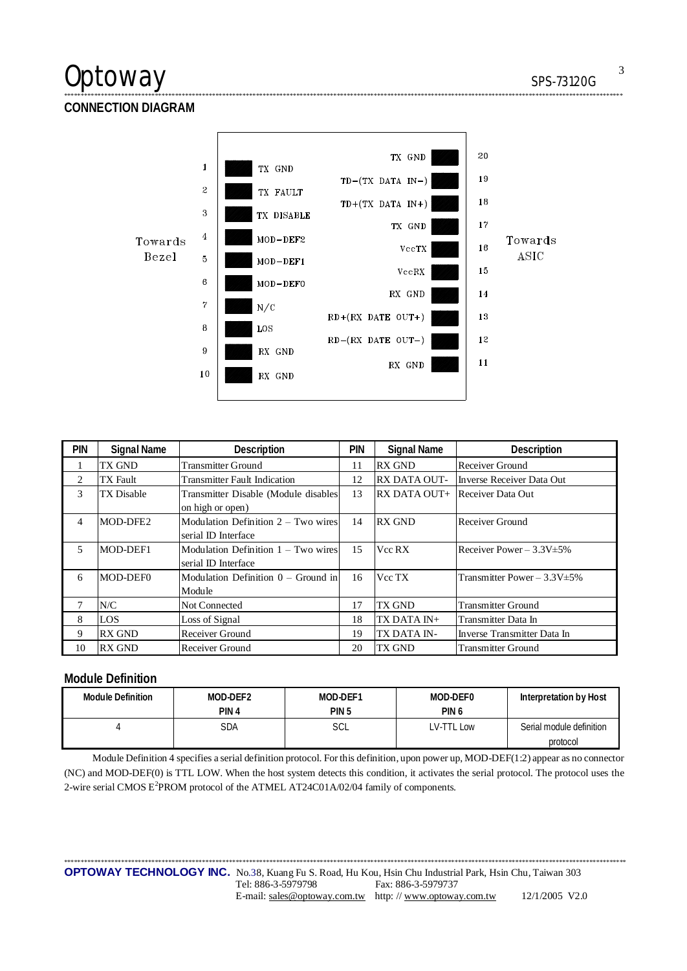## Optoway

SPS-73120G

**CONNECTION DIAGRAM** 



| <b>PIN</b> | <b>Signal Name</b> | Description                                                  | pin | <b>Signal Name</b>                    | Description                       |
|------------|--------------------|--------------------------------------------------------------|-----|---------------------------------------|-----------------------------------|
|            | TX GND             | <b>Transmitter Ground</b>                                    | 11  | <b>RX GND</b>                         | Receiver Ground                   |
| 2          | <b>TX</b> Fault    | <b>Transmitter Fault Indication</b>                          | 12  | <b>RX DATA OUT-</b>                   | Inverse Receiver Data Out         |
| 3          | TX Disable         | Transmitter Disable (Module disables                         | 13  | <b>RX DATA OUT+</b> Receiver Data Out |                                   |
|            |                    | on high or open)                                             |     |                                       |                                   |
| 4          | MOD-DFE2           | Modulation Definition $2 - Two wires$                        | 14  | <b>RX GND</b>                         | Receiver Ground                   |
|            |                    | serial ID Interface                                          |     |                                       |                                   |
| 5          | MOD-DEF1           | Modulation Definition $1 - Two wires$<br>serial ID Interface | 15  | Vcc RX                                | Receiver Power $-3.3V \pm 5\%$    |
|            |                    |                                                              |     |                                       |                                   |
| 6          | MOD-DEF0           | Modulation Definition $0 -$ Ground in                        | 16  | Vcc TX                                | Transmitter Power $-3.3V \pm 5\%$ |
|            |                    | Module                                                       |     |                                       |                                   |
|            | N/C                | Not Connected                                                | 17  | TX GND                                | <b>Transmitter Ground</b>         |
| 8          | LOS                | Loss of Signal                                               | 18  | TX DATA IN+                           | Transmitter Data In               |
| 9          | <b>RX GND</b>      | Receiver Ground                                              | 19  | TX DATA IN-                           | Inverse Transmitter Data In       |
| 10         | <b>RX GND</b>      | Receiver Ground                                              | 20  | TX GND                                | <b>Transmitter Ground</b>         |

### **Module Definition**

| <b>Module Definition</b> | MOD-DEF2         | MOD-DEF1         | MOD-DEF0         | Interpretation by Host   |
|--------------------------|------------------|------------------|------------------|--------------------------|
|                          | PIN <sub>4</sub> | PIN <sub>5</sub> | PIN <sub>6</sub> |                          |
|                          | SDA              | SCL              | LV-TTL Low       | Serial module definition |
|                          |                  |                  |                  | protocol                 |

Module Definition 4 specifies a serial definition protocol. For this definition, upon power up, MOD-DEF(1:2) appear as no connector (NC) and MOD-DEF(0) is TTL LOW. When the host system detects this condition, it activates the serial protocol. The protocol uses the 2-wire serial CMOS E<sup>2</sup>PROM protocol of the ATMEL AT24C01A/02/04 family of components.

 $\overline{3}$